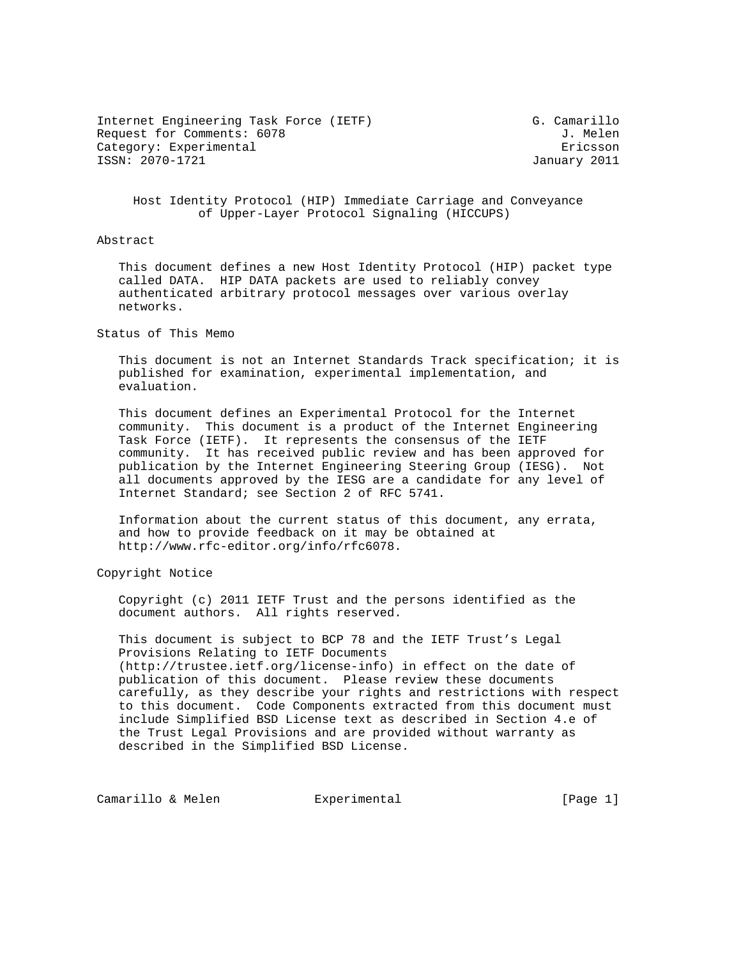Internet Engineering Task Force (IETF) G. Camarillo Request for Comments: 6078 J. Melen Category: Experimental extension of the Ericsson ISSN: 2070-1721 January 2011

 Host Identity Protocol (HIP) Immediate Carriage and Conveyance of Upper-Layer Protocol Signaling (HICCUPS)

### Abstract

 This document defines a new Host Identity Protocol (HIP) packet type called DATA. HIP DATA packets are used to reliably convey authenticated arbitrary protocol messages over various overlay networks.

### Status of This Memo

 This document is not an Internet Standards Track specification; it is published for examination, experimental implementation, and evaluation.

 This document defines an Experimental Protocol for the Internet community. This document is a product of the Internet Engineering Task Force (IETF). It represents the consensus of the IETF community. It has received public review and has been approved for publication by the Internet Engineering Steering Group (IESG). Not all documents approved by the IESG are a candidate for any level of Internet Standard; see Section 2 of RFC 5741.

 Information about the current status of this document, any errata, and how to provide feedback on it may be obtained at http://www.rfc-editor.org/info/rfc6078.

Copyright Notice

 Copyright (c) 2011 IETF Trust and the persons identified as the document authors. All rights reserved.

 This document is subject to BCP 78 and the IETF Trust's Legal Provisions Relating to IETF Documents (http://trustee.ietf.org/license-info) in effect on the date of publication of this document. Please review these documents carefully, as they describe your rights and restrictions with respect to this document. Code Components extracted from this document must include Simplified BSD License text as described in Section 4.e of the Trust Legal Provisions and are provided without warranty as described in the Simplified BSD License.

Camarillo & Melen **Experimental** [Page 1]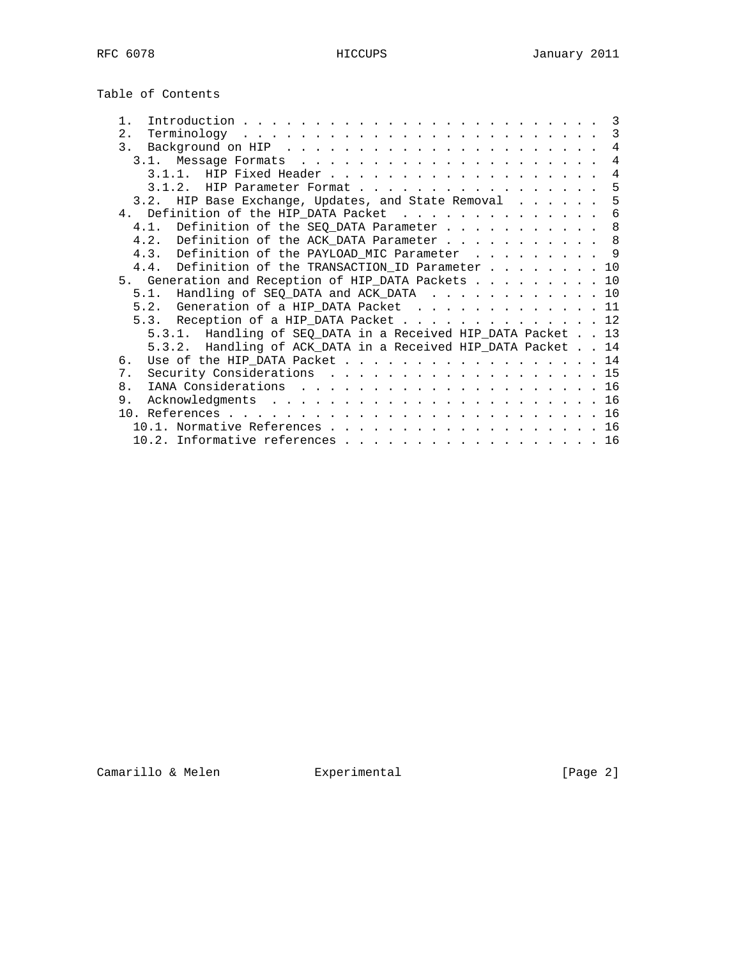| $1$ .                                                        | $\overline{\phantom{a}}$ 3 |
|--------------------------------------------------------------|----------------------------|
| 2.1                                                          | 3                          |
| 3 <sub>1</sub>                                               | $\overline{4}$             |
|                                                              | 4                          |
|                                                              | 4                          |
| 3.1.2. HIP Parameter Format                                  | 5                          |
| 3.2. HIP Base Exchange, Updates, and State Removal           | 5                          |
| 4. Definition of the HIP_DATA Packet                         | 6                          |
| 4.1. Definition of the SEQ_DATA Parameter 8                  |                            |
| 4.2. Definition of the ACK_DATA Parameter 8                  |                            |
| 4.3. Definition of the PAYLOAD_MIC Parameter 9               |                            |
| 4.4. Definition of the TRANSACTION_ID Parameter              | 10                         |
| 5. Generation and Reception of HIP_DATA Packets 10           |                            |
| Handling of SEQ_DATA and ACK_DATA<br>5.1.                    | 10                         |
| 5.2. Generation of a HIP_DATA Packet 11                      |                            |
|                                                              |                            |
| 5.3. Reception of a HIP_DATA Packet 12                       |                            |
| 5.3.1. Handling of SEQ_DATA in a Received HIP_DATA Packet 13 |                            |
| 5.3.2. Handling of ACK_DATA in a Received HIP_DATA Packet 14 |                            |
| Use of the HIP_DATA Packet 14<br>6.                          |                            |
| Security Considerations 15<br>7 <sub>1</sub>                 |                            |
| 8 <sub>1</sub>                                               |                            |
| 9.                                                           |                            |
|                                                              |                            |
|                                                              | 16                         |
| 10.2. Informative references 16                              |                            |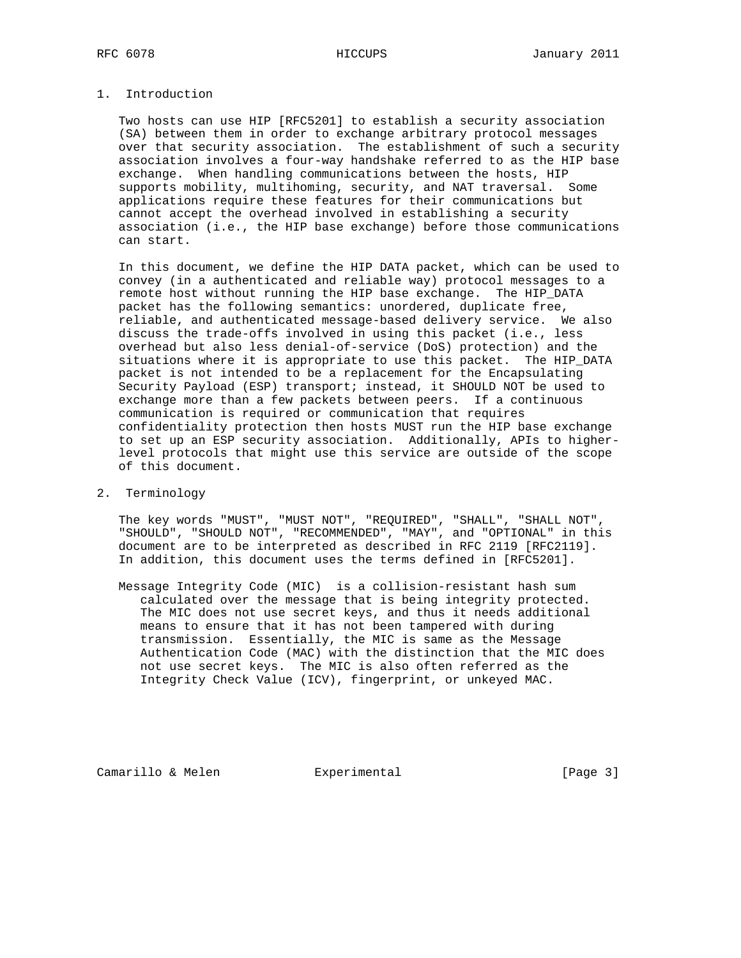## 1. Introduction

 Two hosts can use HIP [RFC5201] to establish a security association (SA) between them in order to exchange arbitrary protocol messages over that security association. The establishment of such a security association involves a four-way handshake referred to as the HIP base exchange. When handling communications between the hosts, HIP supports mobility, multihoming, security, and NAT traversal. Some applications require these features for their communications but cannot accept the overhead involved in establishing a security association (i.e., the HIP base exchange) before those communications can start.

 In this document, we define the HIP DATA packet, which can be used to convey (in a authenticated and reliable way) protocol messages to a remote host without running the HIP base exchange. The HIP\_DATA packet has the following semantics: unordered, duplicate free, reliable, and authenticated message-based delivery service. We also discuss the trade-offs involved in using this packet (i.e., less overhead but also less denial-of-service (DoS) protection) and the situations where it is appropriate to use this packet. The HIP\_DATA packet is not intended to be a replacement for the Encapsulating Security Payload (ESP) transport; instead, it SHOULD NOT be used to exchange more than a few packets between peers. If a continuous communication is required or communication that requires confidentiality protection then hosts MUST run the HIP base exchange to set up an ESP security association. Additionally, APIs to higher level protocols that might use this service are outside of the scope of this document.

## 2. Terminology

 The key words "MUST", "MUST NOT", "REQUIRED", "SHALL", "SHALL NOT", "SHOULD", "SHOULD NOT", "RECOMMENDED", "MAY", and "OPTIONAL" in this document are to be interpreted as described in RFC 2119 [RFC2119]. In addition, this document uses the terms defined in [RFC5201].

 Message Integrity Code (MIC) is a collision-resistant hash sum calculated over the message that is being integrity protected. The MIC does not use secret keys, and thus it needs additional means to ensure that it has not been tampered with during transmission. Essentially, the MIC is same as the Message Authentication Code (MAC) with the distinction that the MIC does not use secret keys. The MIC is also often referred as the Integrity Check Value (ICV), fingerprint, or unkeyed MAC.

Camarillo & Melen **Experimental** [Page 3]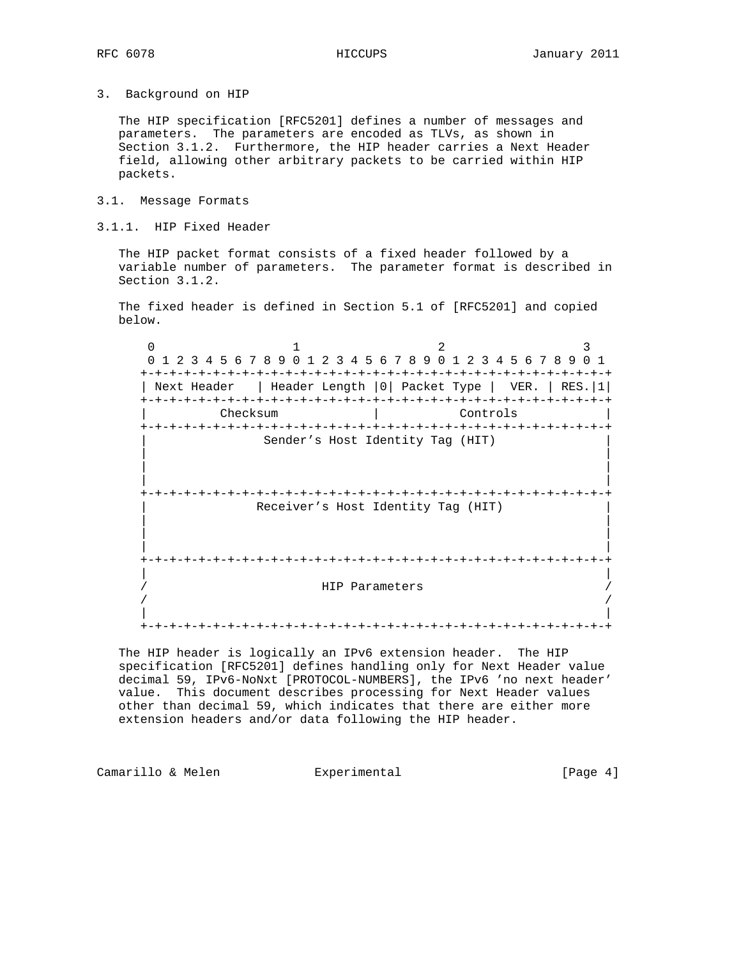3. Background on HIP

 The HIP specification [RFC5201] defines a number of messages and parameters. The parameters are encoded as TLVs, as shown in Section 3.1.2. Furthermore, the HIP header carries a Next Header field, allowing other arbitrary packets to be carried within HIP packets.

- 3.1. Message Formats
- 3.1.1. HIP Fixed Header

 The HIP packet format consists of a fixed header followed by a variable number of parameters. The parameter format is described in Section 3.1.2.

 The fixed header is defined in Section 5.1 of [RFC5201] and copied below.

 $0$  1 2 3 0 1 2 3 4 5 6 7 8 9 0 1 2 3 4 5 6 7 8 9 0 1 2 3 4 5 6 7 8 9 0 1 +-+-+-+-+-+-+-+-+-+-+-+-+-+-+-+-+-+-+-+-+-+-+-+-+-+-+-+-+-+-+-+-+ | Next Header | Header Length |0| Packet Type | VER. | RES.|1| +-+-+-+-+-+-+-+-+-+-+-+-+-+-+-+-+-+-+-+-+-+-+-+-+-+-+-+-+-+-+-+-+ | Controls +-+-+-+-+-+-+-+-+-+-+-+-+-+-+-+-+-+-+-+-+-+-+-+-+-+-+-+-+-+-+-+-+ Sender's Host Identity Tag (HIT) | | | | | | +-+-+-+-+-+-+-+-+-+-+-+-+-+-+-+-+-+-+-+-+-+-+-+-+-+-+-+-+-+-+-+-+ Receiver's Host Identity Tag (HIT) | | | | | | +-+-+-+-+-+-+-+-+-+-+-+-+-+-+-+-+-+-+-+-+-+-+-+-+-+-+-+-+-+-+-+-+ | | HIP Parameters / / | | +-+-+-+-+-+-+-+-+-+-+-+-+-+-+-+-+-+-+-+-+-+-+-+-+-+-+-+-+-+-+-+-+

 The HIP header is logically an IPv6 extension header. The HIP specification [RFC5201] defines handling only for Next Header value decimal 59, IPv6-NoNxt [PROTOCOL-NUMBERS], the IPv6 'no next header' value. This document describes processing for Next Header values other than decimal 59, which indicates that there are either more extension headers and/or data following the HIP header.

Camarillo & Melen **Experimental** [Page 4]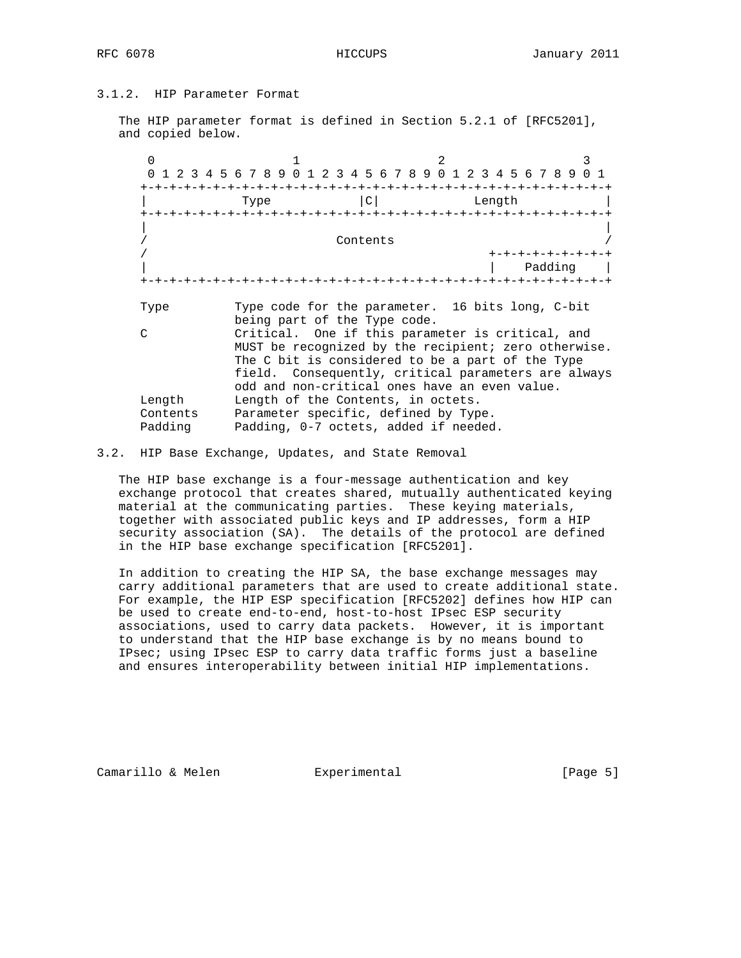# 3.1.2. HIP Parameter Format

 The HIP parameter format is defined in Section 5.2.1 of [RFC5201], and copied below.

|               | 4 5 6 7 8 9 0 1 2 3 4 5 6 7 8 9 0 1 2 3 4 5 6 7 8 9 0 1 |
|---------------|---------------------------------------------------------|
|               | $\mathsf{C}$<br>Length<br>Type                          |
|               |                                                         |
|               | Contents                                                |
|               | +-+-+-+-+-+-+                                           |
|               | Padding                                                 |
|               |                                                         |
| Type          | Type code for the parameter. 16 bits long, C-bit        |
|               | being part of the Type code.                            |
| $\mathcal{C}$ | Critical. One if this parameter is critical, and        |
|               | MUST be recognized by the recipient; zero otherwise.    |
|               | The C bit is considered to be a part of the Type        |
|               | field. Consequently, critical parameters are always     |
|               | odd and non-critical ones have an even value.           |
| Length        | Length of the Contents, in octets.                      |
| Contents      |                                                         |
|               | Parameter specific, defined by Type.                    |

## 3.2. HIP Base Exchange, Updates, and State Removal

 The HIP base exchange is a four-message authentication and key exchange protocol that creates shared, mutually authenticated keying material at the communicating parties. These keying materials, together with associated public keys and IP addresses, form a HIP security association (SA). The details of the protocol are defined in the HIP base exchange specification [RFC5201].

 In addition to creating the HIP SA, the base exchange messages may carry additional parameters that are used to create additional state. For example, the HIP ESP specification [RFC5202] defines how HIP can be used to create end-to-end, host-to-host IPsec ESP security associations, used to carry data packets. However, it is important to understand that the HIP base exchange is by no means bound to IPsec; using IPsec ESP to carry data traffic forms just a baseline and ensures interoperability between initial HIP implementations.

Camarillo & Melen **Experimental** [Page 5]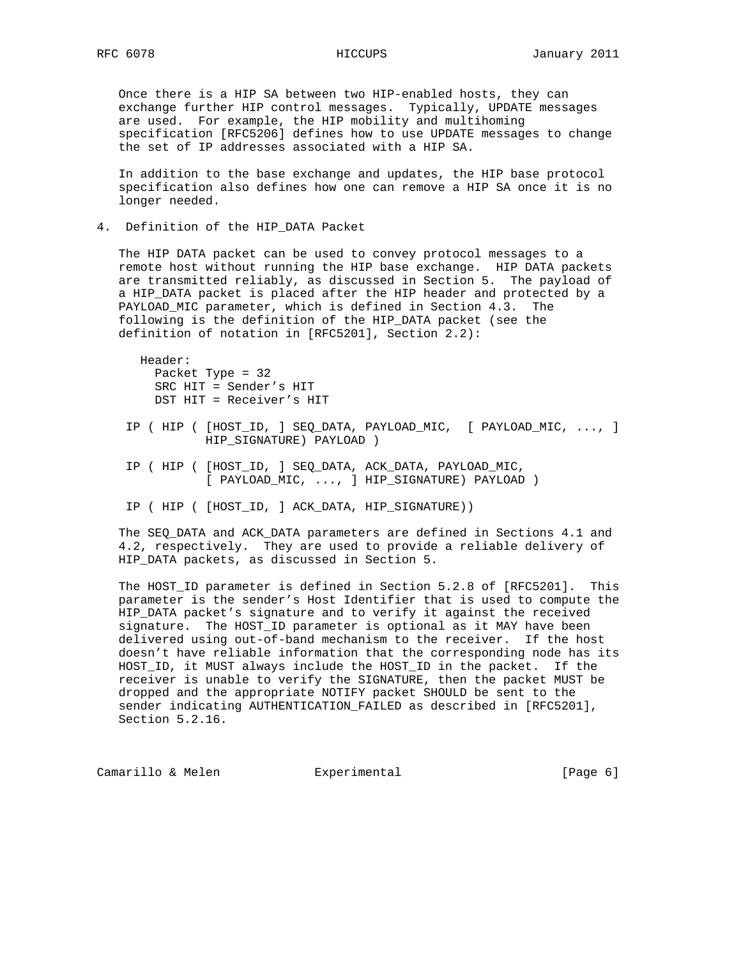Once there is a HIP SA between two HIP-enabled hosts, they can exchange further HIP control messages. Typically, UPDATE messages are used. For example, the HIP mobility and multihoming specification [RFC5206] defines how to use UPDATE messages to change the set of IP addresses associated with a HIP SA.

 In addition to the base exchange and updates, the HIP base protocol specification also defines how one can remove a HIP SA once it is no longer needed.

4. Definition of the HIP\_DATA Packet

 The HIP DATA packet can be used to convey protocol messages to a remote host without running the HIP base exchange. HIP DATA packets are transmitted reliably, as discussed in Section 5. The payload of a HIP\_DATA packet is placed after the HIP header and protected by a PAYLOAD\_MIC parameter, which is defined in Section 4.3. The following is the definition of the HIP\_DATA packet (see the definition of notation in [RFC5201], Section 2.2):

 Header: Packet Type = 32 SRC HIT = Sender's HIT DST HIT = Receiver's HIT

- IP ( HIP ( [HOST\_ID, ] SEQ\_DATA, PAYLOAD\_MIC, [ PAYLOAD\_MIC, ..., ] HIP\_SIGNATURE) PAYLOAD )
- IP ( HIP ( [HOST\_ID, ] SEQ\_DATA, ACK\_DATA, PAYLOAD\_MIC, [ PAYLOAD\_MIC, ..., ] HIP\_SIGNATURE) PAYLOAD )
- IP ( HIP ( [HOST\_ID, ] ACK\_DATA, HIP\_SIGNATURE))

 The SEQ\_DATA and ACK\_DATA parameters are defined in Sections 4.1 and 4.2, respectively. They are used to provide a reliable delivery of HIP\_DATA packets, as discussed in Section 5.

 The HOST\_ID parameter is defined in Section 5.2.8 of [RFC5201]. This parameter is the sender's Host Identifier that is used to compute the HIP\_DATA packet's signature and to verify it against the received signature. The HOST\_ID parameter is optional as it MAY have been delivered using out-of-band mechanism to the receiver. If the host doesn't have reliable information that the corresponding node has its HOST\_ID, it MUST always include the HOST\_ID in the packet. If the receiver is unable to verify the SIGNATURE, then the packet MUST be dropped and the appropriate NOTIFY packet SHOULD be sent to the sender indicating AUTHENTICATION\_FAILED as described in [RFC5201], Section 5.2.16.

Camarillo & Melen **Experimental** [Page 6]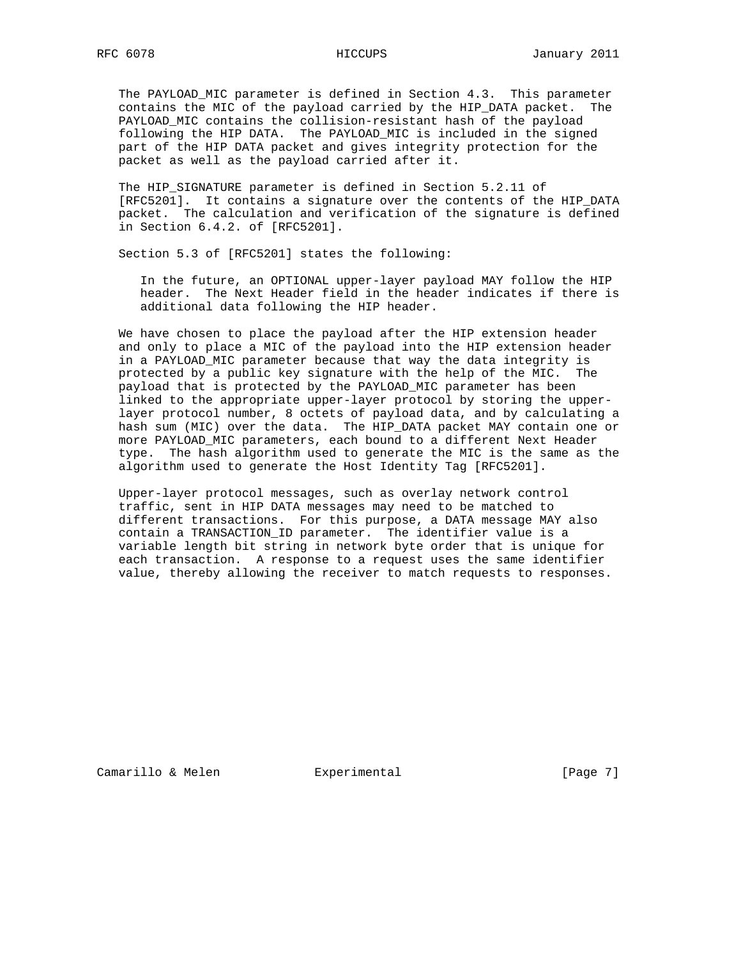The PAYLOAD\_MIC parameter is defined in Section 4.3. This parameter contains the MIC of the payload carried by the HIP\_DATA packet. The PAYLOAD\_MIC contains the collision-resistant hash of the payload following the HIP DATA. The PAYLOAD\_MIC is included in the signed part of the HIP DATA packet and gives integrity protection for the packet as well as the payload carried after it.

 The HIP\_SIGNATURE parameter is defined in Section 5.2.11 of [RFC5201]. It contains a signature over the contents of the HIP\_DATA packet. The calculation and verification of the signature is defined in Section 6.4.2. of [RFC5201].

Section 5.3 of [RFC5201] states the following:

 In the future, an OPTIONAL upper-layer payload MAY follow the HIP header. The Next Header field in the header indicates if there is additional data following the HIP header.

 We have chosen to place the payload after the HIP extension header and only to place a MIC of the payload into the HIP extension header in a PAYLOAD\_MIC parameter because that way the data integrity is protected by a public key signature with the help of the MIC. The payload that is protected by the PAYLOAD\_MIC parameter has been linked to the appropriate upper-layer protocol by storing the upper layer protocol number, 8 octets of payload data, and by calculating a hash sum (MIC) over the data. The HIP\_DATA packet MAY contain one or more PAYLOAD\_MIC parameters, each bound to a different Next Header type. The hash algorithm used to generate the MIC is the same as the algorithm used to generate the Host Identity Tag [RFC5201].

 Upper-layer protocol messages, such as overlay network control traffic, sent in HIP DATA messages may need to be matched to different transactions. For this purpose, a DATA message MAY also contain a TRANSACTION\_ID parameter. The identifier value is a variable length bit string in network byte order that is unique for each transaction. A response to a request uses the same identifier value, thereby allowing the receiver to match requests to responses.

Camarillo & Melen **Experimental** [Page 7]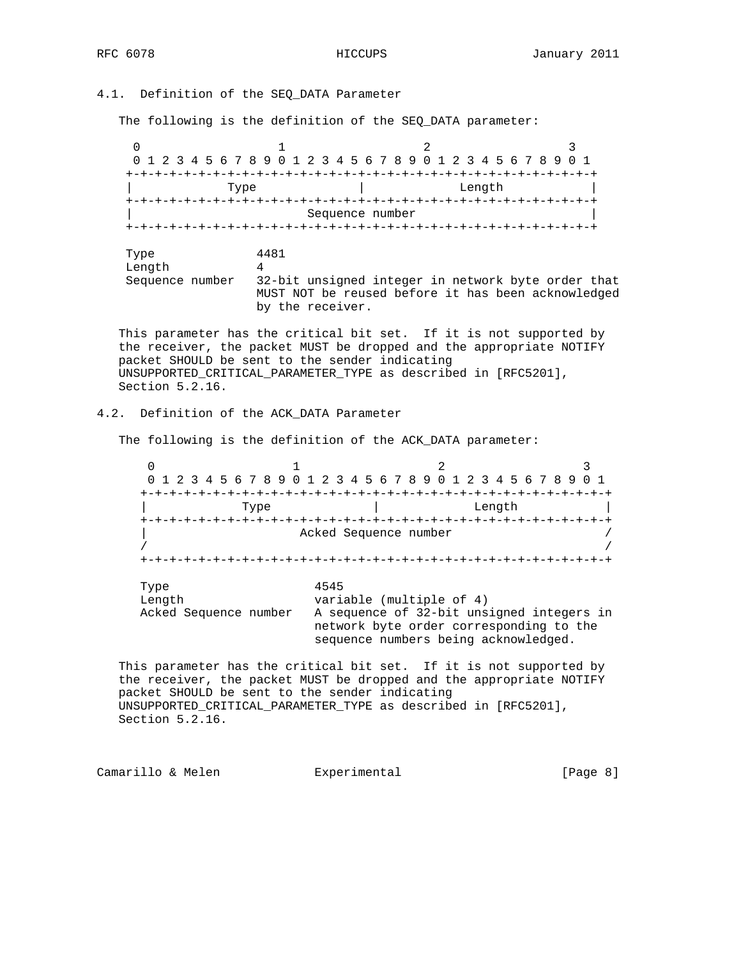4.1. Definition of the SEQ\_DATA Parameter

The following is the definition of the SEQ\_DATA parameter:

 $0$  1 2 3 0 1 2 3 4 5 6 7 8 9 0 1 2 3 4 5 6 7 8 9 0 1 2 3 4 5 6 7 8 9 0 1 +-+-+-+-+-+-+-+-+-+-+-+-+-+-+-+-+-+-+-+-+-+-+-+-+-+-+-+-+-+-+-+-+ | Type | Length | +-+-+-+-+-+-+-+-+-+-+-+-+-+-+-+-+-+-+-+-+-+-+-+-+-+-+-+-+-+-+-+-+ Sequence number +-+-+-+-+-+-+-+-+-+-+-+-+-+-+-+-+-+-+-+-+-+-+-+-+-+-+-+-+-+-+-+-+ Type 4481 Length 4

 Sequence number 32-bit unsigned integer in network byte order that MUST NOT be reused before it has been acknowledged by the receiver.

 This parameter has the critical bit set. If it is not supported by the receiver, the packet MUST be dropped and the appropriate NOTIFY packet SHOULD be sent to the sender indicating UNSUPPORTED\_CRITICAL\_PARAMETER\_TYPE as described in [RFC5201], Section 5.2.16.

## 4.2. Definition of the ACK\_DATA Parameter

The following is the definition of the ACK\_DATA parameter:

 $0$  1 2 3 0 1 2 3 4 5 6 7 8 9 0 1 2 3 4 5 6 7 8 9 0 1 2 3 4 5 6 7 8 9 0 1 +-+-+-+-+-+-+-+-+-+-+-+-+-+-+-+-+-+-+-+-+-+-+-+-+-+-+-+-+-+-+-+-+ | Type | Length +-+-+-+-+-+-+-+-+-+-+-+-+-+-+-+-+-+-+-+-+-+-+-+-+-+-+-+-+-+-+-+-+ Acked Sequence number / / / +-+-+-+-+-+-+-+-+-+-+-+-+-+-+-+-+-+-+-+-+-+-+-+-+-+-+-+-+-+-+-+-+ Type 4545<br>Length vari variable (multiple of 4) Acked Sequence number  $A$  sequence of  $32$ -bit unsigned integers in network byte order corresponding to the sequence numbers being acknowledged.

 This parameter has the critical bit set. If it is not supported by the receiver, the packet MUST be dropped and the appropriate NOTIFY packet SHOULD be sent to the sender indicating UNSUPPORTED\_CRITICAL\_PARAMETER\_TYPE as described in [RFC5201], Section 5.2.16.

Camarillo & Melen **Experimental** Experimental [Page 8]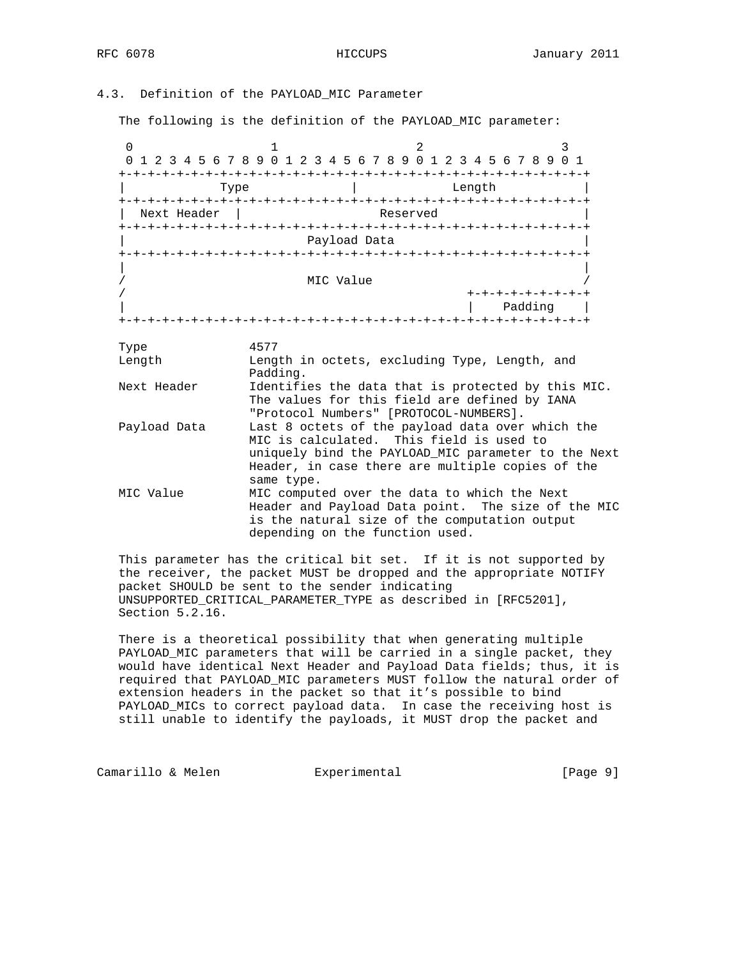# 4.3. Definition of the PAYLOAD\_MIC Parameter

The following is the definition of the PAYLOAD\_MIC parameter:

0  $1$  2 3 0 1 2 3 4 5 6 7 8 9 0 1 2 3 4 5 6 7 8 9 0 1 2 3 4 5 6 7 8 9 0 1 +-+-+-+-+-+-+-+-+-+-+-+-+-+-+-+-+-+-+-+-+-+-+-+-+-+-+-+-+-+-+-+-+ Type  $|$  Length +-+-+-+-+-+-+-+-+-+-+-+-+-+-+-+-+-+-+-+-+-+-+-+-+-+-+-+-+-+-+-+-+ | Next Header | Reserved +-+-+-+-+-+-+-+-+-+-+-+-+-+-+-+-+-+-+-+-+-+-+-+-+-+-+-+-+-+-+-+-+ Payload Data +-+-+-+-+-+-+-+-+-+-+-+-+-+-+-+-+-+-+-+-+-+-+-+-+-+-+-+-+-+-+-+-+ | | MIC Value / +-+-+-+-+-+-+-+-+ | | Padding | +-+-+-+-+-+-+-+-+-+-+-+-+-+-+-+-+-+-+-+-+-+-+-+-+-+-+-+-+-+-+-+-+ Type 4577 Length Length in octets, excluding Type, Length, and Padding. Next Header Identifies the data that is protected by this MIC. The values for this field are defined by IANA "Protocol Numbers" [PROTOCOL-NUMBERS]. Payload Data Last 8 octets of the payload data over which the MIC is calculated. This field is used to uniquely bind the PAYLOAD\_MIC parameter to the Next Header, in case there are multiple copies of the same type. MIC Value MIC computed over the data to which the Next Header and Payload Data point. The size of the MIC is the natural size of the computation output depending on the function used.

 This parameter has the critical bit set. If it is not supported by the receiver, the packet MUST be dropped and the appropriate NOTIFY packet SHOULD be sent to the sender indicating UNSUPPORTED\_CRITICAL\_PARAMETER\_TYPE as described in [RFC5201], Section 5.2.16.

 There is a theoretical possibility that when generating multiple PAYLOAD\_MIC parameters that will be carried in a single packet, they would have identical Next Header and Payload Data fields; thus, it is required that PAYLOAD\_MIC parameters MUST follow the natural order of extension headers in the packet so that it's possible to bind PAYLOAD\_MICs to correct payload data. In case the receiving host is still unable to identify the payloads, it MUST drop the packet and

Camarillo & Melen **Experimental** (Page 9)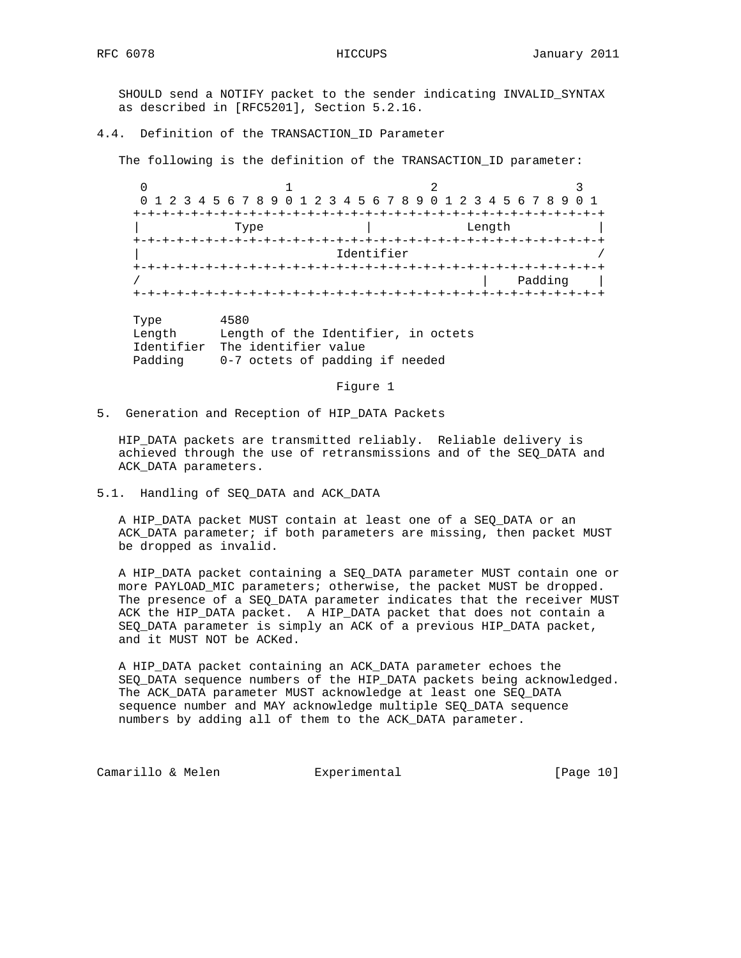SHOULD send a NOTIFY packet to the sender indicating INVALID\_SYNTAX as described in [RFC5201], Section 5.2.16.

## 4.4. Definition of the TRANSACTION ID Parameter

The following is the definition of the TRANSACTION\_ID parameter:

0  $1$   $2$   $3$  0 1 2 3 4 5 6 7 8 9 0 1 2 3 4 5 6 7 8 9 0 1 2 3 4 5 6 7 8 9 0 1 +-+-+-+-+-+-+-+-+-+-+-+-+-+-+-+-+-+-+-+-+-+-+-+-+-+-+-+-+-+-+-+-+ Type  $|\hspace{.1cm} \text{Length} |$  +-+-+-+-+-+-+-+-+-+-+-+-+-+-+-+-+-+-+-+-+-+-+-+-+-+-+-+-+-+-+-+-+ Identifier +-+-+-+-+-+-+-+-+-+-+-+-+-+-+-+-+-+-+-+-+-+-+-+-+-+-+-+-+-+-+-+-+ / | Padding | +-+-+-+-+-+-+-+-+-+-+-+-+-+-+-+-+-+-+-+-+-+-+-+-+-+-+-+-+-+-+-+-+

 Type 4580 Length Length of the Identifier, in octets Identifier The identifier value Padding 0-7 octets of padding if needed

Figure 1

5. Generation and Reception of HIP\_DATA Packets

 HIP\_DATA packets are transmitted reliably. Reliable delivery is achieved through the use of retransmissions and of the SEQ\_DATA and ACK\_DATA parameters.

## 5.1. Handling of SEQ\_DATA and ACK\_DATA

 A HIP\_DATA packet MUST contain at least one of a SEQ\_DATA or an ACK\_DATA parameter; if both parameters are missing, then packet MUST be dropped as invalid.

 A HIP\_DATA packet containing a SEQ\_DATA parameter MUST contain one or more PAYLOAD\_MIC parameters; otherwise, the packet MUST be dropped. The presence of a SEQ\_DATA parameter indicates that the receiver MUST ACK the HIP\_DATA packet. A HIP\_DATA packet that does not contain a SEQ\_DATA parameter is simply an ACK of a previous HIP\_DATA packet, and it MUST NOT be ACKed.

 A HIP\_DATA packet containing an ACK\_DATA parameter echoes the SEQ\_DATA sequence numbers of the HIP\_DATA packets being acknowledged. The ACK\_DATA parameter MUST acknowledge at least one SEQ\_DATA sequence number and MAY acknowledge multiple SEQ\_DATA sequence numbers by adding all of them to the ACK\_DATA parameter.

Camarillo & Melen **Experimental** [Page 10]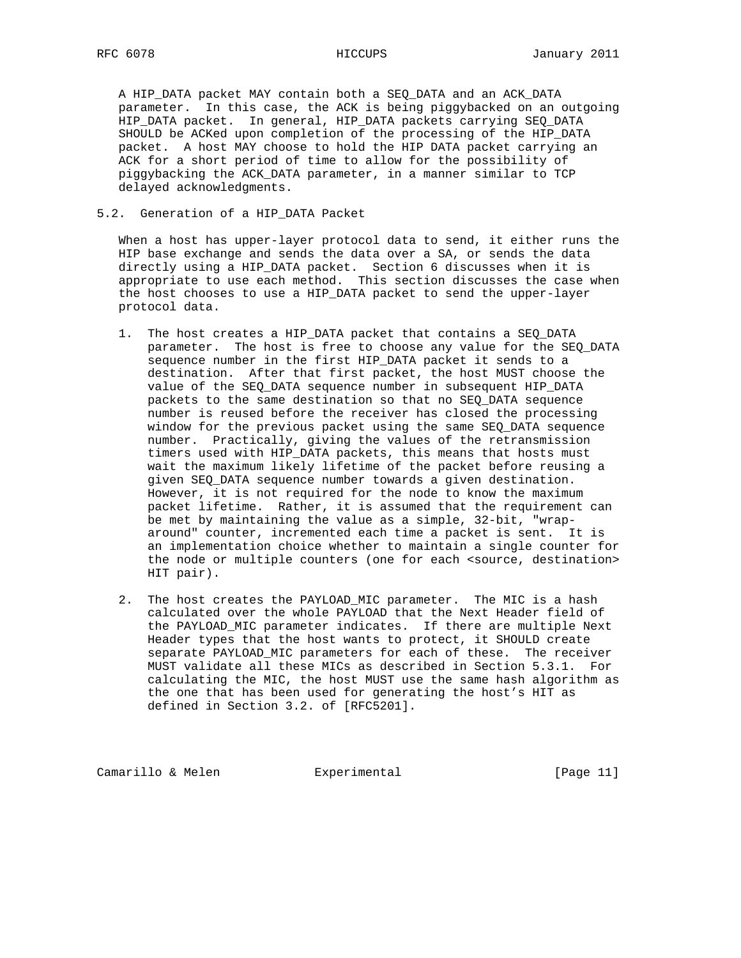A HIP\_DATA packet MAY contain both a SEQ\_DATA and an ACK\_DATA parameter. In this case, the ACK is being piggybacked on an outgoing HIP\_DATA packet. In general, HIP\_DATA packets carrying SEQ\_DATA SHOULD be ACKed upon completion of the processing of the HIP\_DATA packet. A host MAY choose to hold the HIP DATA packet carrying an ACK for a short period of time to allow for the possibility of piggybacking the ACK\_DATA parameter, in a manner similar to TCP delayed acknowledgments.

## 5.2. Generation of a HIP\_DATA Packet

 When a host has upper-layer protocol data to send, it either runs the HIP base exchange and sends the data over a SA, or sends the data directly using a HIP\_DATA packet. Section 6 discusses when it is appropriate to use each method. This section discusses the case when the host chooses to use a HIP\_DATA packet to send the upper-layer protocol data.

- 1. The host creates a HIP\_DATA packet that contains a SEQ\_DATA parameter. The host is free to choose any value for the SEQ\_DATA sequence number in the first HIP\_DATA packet it sends to a destination. After that first packet, the host MUST choose the value of the SEQ\_DATA sequence number in subsequent HIP\_DATA packets to the same destination so that no SEQ\_DATA sequence number is reused before the receiver has closed the processing window for the previous packet using the same SEQ\_DATA sequence number. Practically, giving the values of the retransmission timers used with HIP\_DATA packets, this means that hosts must wait the maximum likely lifetime of the packet before reusing a given SEQ\_DATA sequence number towards a given destination. However, it is not required for the node to know the maximum packet lifetime. Rather, it is assumed that the requirement can be met by maintaining the value as a simple, 32-bit, "wrap around" counter, incremented each time a packet is sent. It is an implementation choice whether to maintain a single counter for the node or multiple counters (one for each <source, destination> HIT pair).
- 2. The host creates the PAYLOAD\_MIC parameter. The MIC is a hash calculated over the whole PAYLOAD that the Next Header field of the PAYLOAD\_MIC parameter indicates. If there are multiple Next Header types that the host wants to protect, it SHOULD create separate PAYLOAD\_MIC parameters for each of these. The receiver MUST validate all these MICs as described in Section 5.3.1. For calculating the MIC, the host MUST use the same hash algorithm as the one that has been used for generating the host's HIT as defined in Section 3.2. of [RFC5201].

Camarillo & Melen **Experimental** [Page 11]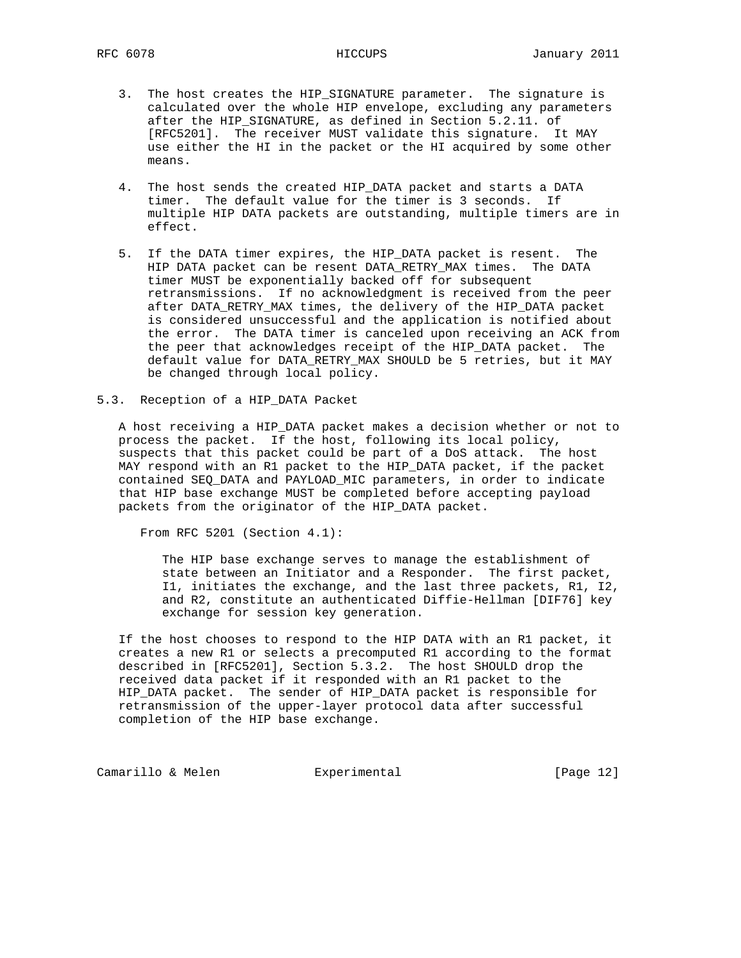- 3. The host creates the HIP\_SIGNATURE parameter. The signature is calculated over the whole HIP envelope, excluding any parameters after the HIP\_SIGNATURE, as defined in Section 5.2.11. of [RFC5201]. The receiver MUST validate this signature. It MAY use either the HI in the packet or the HI acquired by some other means.
- 4. The host sends the created HIP\_DATA packet and starts a DATA timer. The default value for the timer is 3 seconds. If multiple HIP DATA packets are outstanding, multiple timers are in effect.
- 5. If the DATA timer expires, the HIP\_DATA packet is resent. The HIP DATA packet can be resent DATA\_RETRY\_MAX times. The DATA timer MUST be exponentially backed off for subsequent retransmissions. If no acknowledgment is received from the peer after DATA\_RETRY\_MAX times, the delivery of the HIP\_DATA packet is considered unsuccessful and the application is notified about the error. The DATA timer is canceled upon receiving an ACK from the peer that acknowledges receipt of the HIP\_DATA packet. The default value for DATA\_RETRY\_MAX SHOULD be 5 retries, but it MAY be changed through local policy.
- 5.3. Reception of a HIP\_DATA Packet

 A host receiving a HIP\_DATA packet makes a decision whether or not to process the packet. If the host, following its local policy, suspects that this packet could be part of a DoS attack. The host MAY respond with an R1 packet to the HIP\_DATA packet, if the packet contained SEQ\_DATA and PAYLOAD\_MIC parameters, in order to indicate that HIP base exchange MUST be completed before accepting payload packets from the originator of the HIP\_DATA packet.

From RFC 5201 (Section 4.1):

 The HIP base exchange serves to manage the establishment of state between an Initiator and a Responder. The first packet, I1, initiates the exchange, and the last three packets, R1, I2, and R2, constitute an authenticated Diffie-Hellman [DIF76] key exchange for session key generation.

 If the host chooses to respond to the HIP DATA with an R1 packet, it creates a new R1 or selects a precomputed R1 according to the format described in [RFC5201], Section 5.3.2. The host SHOULD drop the received data packet if it responded with an R1 packet to the HIP\_DATA packet. The sender of HIP\_DATA packet is responsible for retransmission of the upper-layer protocol data after successful completion of the HIP base exchange.

Camarillo & Melen **Experimental** [Page 12]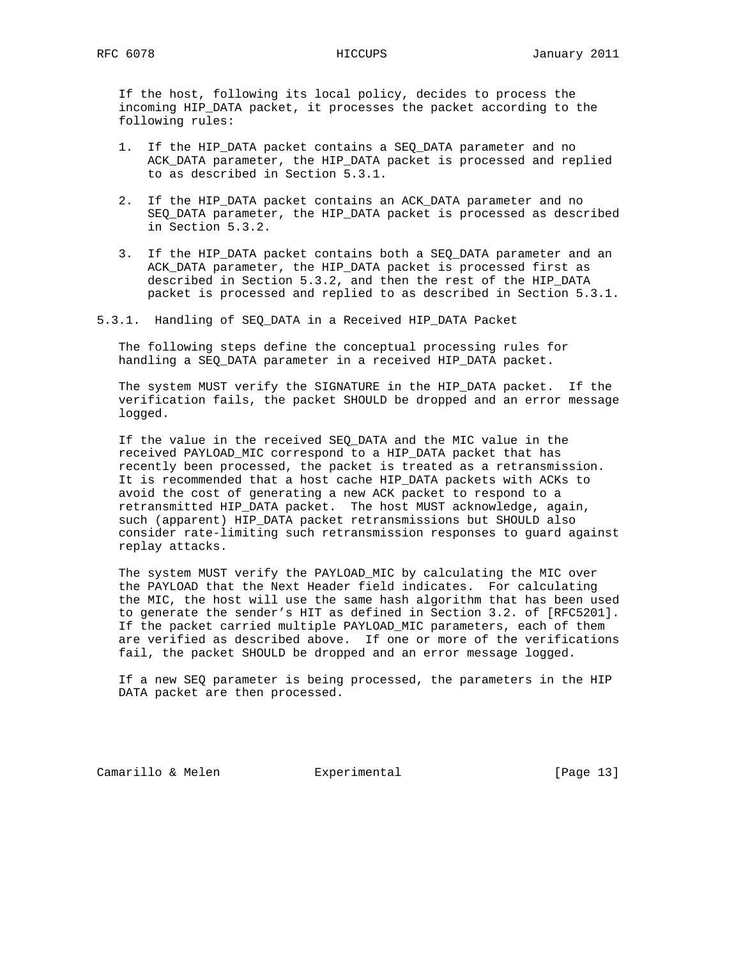If the host, following its local policy, decides to process the incoming HIP\_DATA packet, it processes the packet according to the following rules:

- 1. If the HIP\_DATA packet contains a SEQ\_DATA parameter and no ACK\_DATA parameter, the HIP\_DATA packet is processed and replied to as described in Section 5.3.1.
- 2. If the HIP\_DATA packet contains an ACK\_DATA parameter and no SEQ DATA parameter, the HIP DATA packet is processed as described in Section 5.3.2.
- 3. If the HIP\_DATA packet contains both a SEQ\_DATA parameter and an ACK\_DATA parameter, the HIP\_DATA packet is processed first as described in Section 5.3.2, and then the rest of the HIP\_DATA packet is processed and replied to as described in Section 5.3.1.
- 5.3.1. Handling of SEQ\_DATA in a Received HIP\_DATA Packet

 The following steps define the conceptual processing rules for handling a SEQ\_DATA parameter in a received HIP\_DATA packet.

 The system MUST verify the SIGNATURE in the HIP\_DATA packet. If the verification fails, the packet SHOULD be dropped and an error message logged.

 If the value in the received SEQ\_DATA and the MIC value in the received PAYLOAD\_MIC correspond to a HIP\_DATA packet that has recently been processed, the packet is treated as a retransmission. It is recommended that a host cache HIP\_DATA packets with ACKs to avoid the cost of generating a new ACK packet to respond to a retransmitted HIP\_DATA packet. The host MUST acknowledge, again, such (apparent) HIP\_DATA packet retransmissions but SHOULD also consider rate-limiting such retransmission responses to guard against replay attacks.

 The system MUST verify the PAYLOAD\_MIC by calculating the MIC over the PAYLOAD that the Next Header field indicates. For calculating the MIC, the host will use the same hash algorithm that has been used to generate the sender's HIT as defined in Section 3.2. of [RFC5201]. If the packet carried multiple PAYLOAD\_MIC parameters, each of them are verified as described above. If one or more of the verifications fail, the packet SHOULD be dropped and an error message logged.

 If a new SEQ parameter is being processed, the parameters in the HIP DATA packet are then processed.

Camarillo & Melen Experimental [Page 13]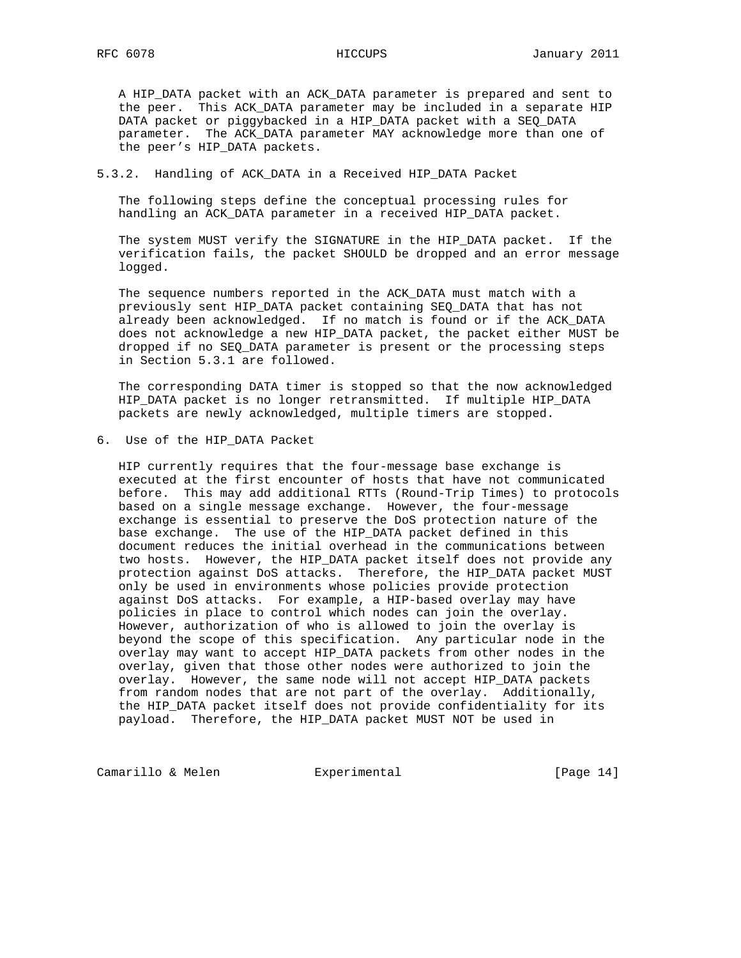A HIP\_DATA packet with an ACK\_DATA parameter is prepared and sent to the peer. This ACK\_DATA parameter may be included in a separate HIP DATA packet or piggybacked in a HIP\_DATA packet with a SEQ\_DATA parameter. The ACK\_DATA parameter MAY acknowledge more than one of the peer's HIP\_DATA packets.

## 5.3.2. Handling of ACK\_DATA in a Received HIP\_DATA Packet

 The following steps define the conceptual processing rules for handling an ACK DATA parameter in a received HIP DATA packet.

 The system MUST verify the SIGNATURE in the HIP\_DATA packet. If the verification fails, the packet SHOULD be dropped and an error message logged.

 The sequence numbers reported in the ACK\_DATA must match with a previously sent HIP\_DATA packet containing SEQ\_DATA that has not already been acknowledged. If no match is found or if the ACK\_DATA does not acknowledge a new HIP\_DATA packet, the packet either MUST be dropped if no SEQ\_DATA parameter is present or the processing steps in Section 5.3.1 are followed.

 The corresponding DATA timer is stopped so that the now acknowledged HIP\_DATA packet is no longer retransmitted. If multiple HIP\_DATA packets are newly acknowledged, multiple timers are stopped.

6. Use of the HIP\_DATA Packet

 HIP currently requires that the four-message base exchange is executed at the first encounter of hosts that have not communicated before. This may add additional RTTs (Round-Trip Times) to protocols based on a single message exchange. However, the four-message exchange is essential to preserve the DoS protection nature of the base exchange. The use of the HIP\_DATA packet defined in this document reduces the initial overhead in the communications between two hosts. However, the HIP\_DATA packet itself does not provide any protection against DoS attacks. Therefore, the HIP\_DATA packet MUST only be used in environments whose policies provide protection against DoS attacks. For example, a HIP-based overlay may have policies in place to control which nodes can join the overlay. However, authorization of who is allowed to join the overlay is beyond the scope of this specification. Any particular node in the overlay may want to accept HIP\_DATA packets from other nodes in the overlay, given that those other nodes were authorized to join the overlay. However, the same node will not accept HIP\_DATA packets from random nodes that are not part of the overlay. Additionally, the HIP\_DATA packet itself does not provide confidentiality for its payload. Therefore, the HIP\_DATA packet MUST NOT be used in

Camarillo & Melen **Experimental** [Page 14]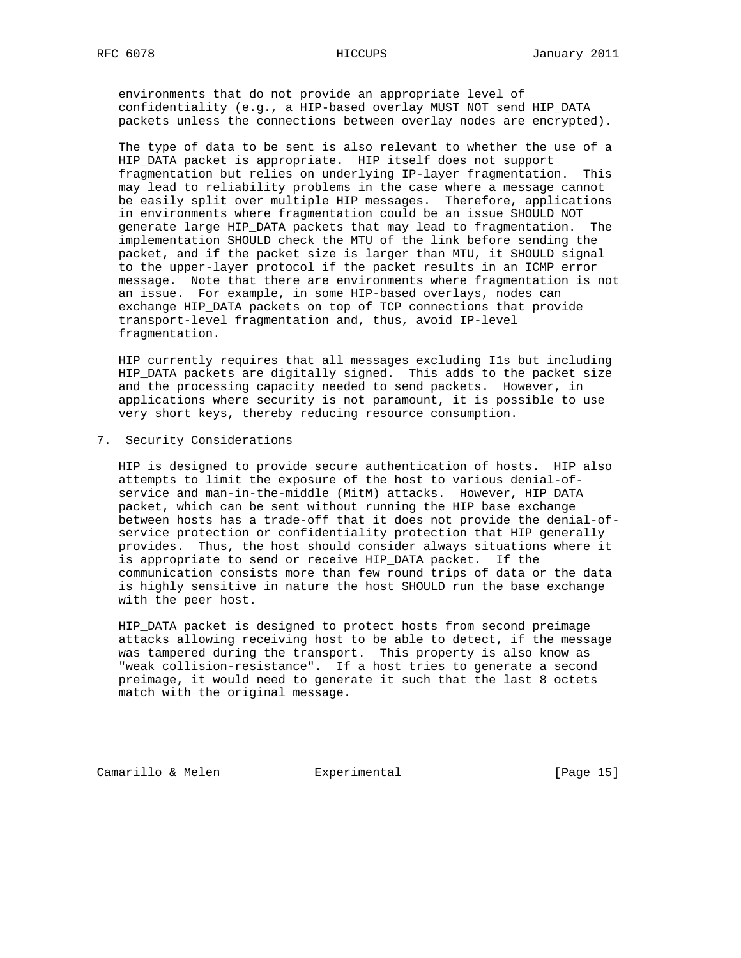environments that do not provide an appropriate level of confidentiality (e.g., a HIP-based overlay MUST NOT send HIP\_DATA packets unless the connections between overlay nodes are encrypted).

 The type of data to be sent is also relevant to whether the use of a HIP\_DATA packet is appropriate. HIP itself does not support fragmentation but relies on underlying IP-layer fragmentation. This may lead to reliability problems in the case where a message cannot be easily split over multiple HIP messages. Therefore, applications in environments where fragmentation could be an issue SHOULD NOT generate large HIP\_DATA packets that may lead to fragmentation. The implementation SHOULD check the MTU of the link before sending the packet, and if the packet size is larger than MTU, it SHOULD signal to the upper-layer protocol if the packet results in an ICMP error message. Note that there are environments where fragmentation is not an issue. For example, in some HIP-based overlays, nodes can exchange HIP\_DATA packets on top of TCP connections that provide transport-level fragmentation and, thus, avoid IP-level fragmentation.

 HIP currently requires that all messages excluding I1s but including HIP\_DATA packets are digitally signed. This adds to the packet size and the processing capacity needed to send packets. However, in applications where security is not paramount, it is possible to use very short keys, thereby reducing resource consumption.

7. Security Considerations

 HIP is designed to provide secure authentication of hosts. HIP also attempts to limit the exposure of the host to various denial-of service and man-in-the-middle (MitM) attacks. However, HIP\_DATA packet, which can be sent without running the HIP base exchange between hosts has a trade-off that it does not provide the denial-of service protection or confidentiality protection that HIP generally provides. Thus, the host should consider always situations where it is appropriate to send or receive HIP\_DATA packet. If the communication consists more than few round trips of data or the data is highly sensitive in nature the host SHOULD run the base exchange with the peer host.

 HIP\_DATA packet is designed to protect hosts from second preimage attacks allowing receiving host to be able to detect, if the message was tampered during the transport. This property is also know as "weak collision-resistance". If a host tries to generate a second preimage, it would need to generate it such that the last 8 octets match with the original message.

Camarillo & Melen Experimental [Page 15]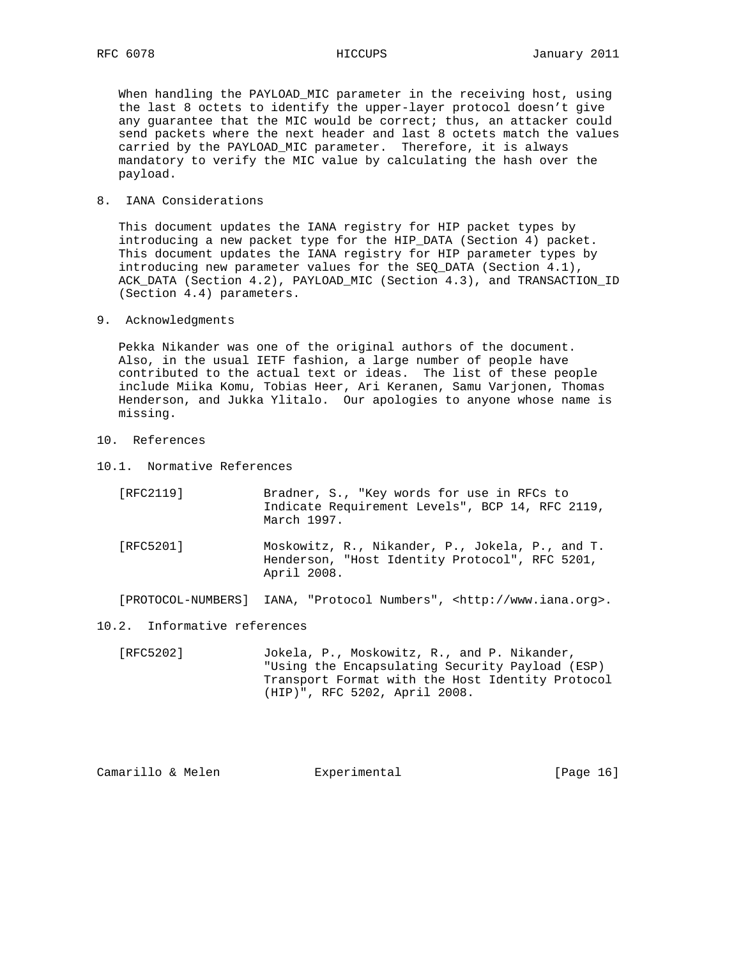When handling the PAYLOAD\_MIC parameter in the receiving host, using the last 8 octets to identify the upper-layer protocol doesn't give any guarantee that the MIC would be correct; thus, an attacker could send packets where the next header and last 8 octets match the values carried by the PAYLOAD\_MIC parameter. Therefore, it is always mandatory to verify the MIC value by calculating the hash over the payload.

8. IANA Considerations

 This document updates the IANA registry for HIP packet types by introducing a new packet type for the HIP\_DATA (Section 4) packet. This document updates the IANA registry for HIP parameter types by introducing new parameter values for the SEQ\_DATA (Section 4.1), ACK\_DATA (Section 4.2), PAYLOAD\_MIC (Section 4.3), and TRANSACTION\_ID (Section 4.4) parameters.

9. Acknowledgments

 Pekka Nikander was one of the original authors of the document. Also, in the usual IETF fashion, a large number of people have contributed to the actual text or ideas. The list of these people include Miika Komu, Tobias Heer, Ari Keranen, Samu Varjonen, Thomas Henderson, and Jukka Ylitalo. Our apologies to anyone whose name is missing.

- 10. References
- 10.1. Normative References

| [RFC2119] | Bradner, S., "Key words for use in RFCs to<br>Indicate Requirement Levels", BCP 14, RFC 2119,<br>March 1997.     |
|-----------|------------------------------------------------------------------------------------------------------------------|
| [RFC5201] | Moskowitz, R., Nikander, P., Jokela, P., and T.<br>Henderson, "Host Identity Protocol", RFC 5201,<br>April 2008. |

[PROTOCOL-NUMBERS] IANA, "Protocol Numbers", <http://www.iana.org>.

## 10.2. Informative references

 [RFC5202] Jokela, P., Moskowitz, R., and P. Nikander, "Using the Encapsulating Security Payload (ESP) Transport Format with the Host Identity Protocol (HIP)", RFC 5202, April 2008.

Camarillo & Melen **Experimental** [Page 16]